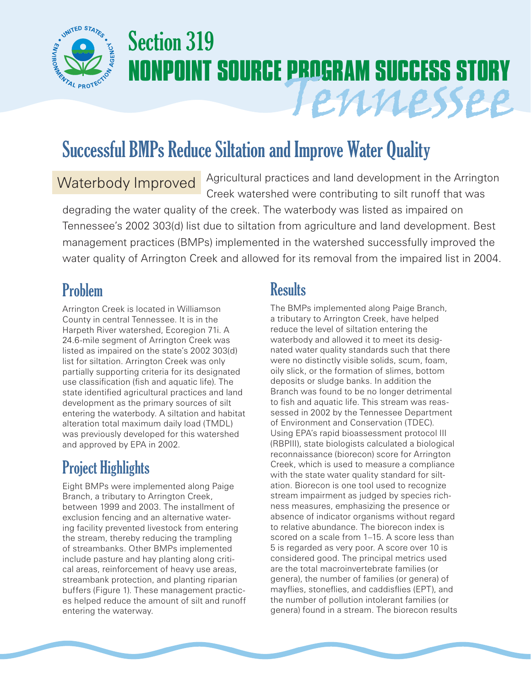

# Section 319 **NONPOINT SOURCE PROGRAM SUCCESS STORY** Tennessee

# Successful BMPs Reduce Siltation and Improve Water Quality

# Waterbody Improved

Agricultural practices and land development in the Arrington Creek watershed were contributing to silt runoff that was

degrading the water quality of the creek. The waterbody was listed as impaired on Tennessee's 2002 303(d) list due to siltation from agriculture and land development. Best management practices (BMPs) implemented in the watershed successfully improved the water quality of Arrington Creek and allowed for its removal from the impaired list in 2004.

# Problem

Arrington Creek is located in Williamson County in central Tennessee. It is in the Harpeth River watershed, Ecoregion 71i. A 24.6-mile segment of Arrington Creek was listed as impaired on the state's 2002 303(d) list for siltation. Arrington Creek was only partially supporting criteria for its designated use classification (fish and aquatic life). The state identified agricultural practices and land development as the primary sources of silt entering the waterbody. A siltation and habitat alteration total maximum daily load (TMDL) was previously developed for this watershed and approved by EPA in 2002.

# Project Highlights

Eight BMPs were implemented along Paige Branch, a tributary to Arrington Creek, between 1999 and 2003. The installment of exclusion fencing and an alternative watering facility prevented livestock from entering the stream, thereby reducing the trampling of streambanks. Other BMPs implemented include pasture and hay planting along critical areas, reinforcement of heavy use areas, streambank protection, and planting riparian buffers (Figure 1). These management practices helped reduce the amount of silt and runoff entering the waterway.

### **Results**

The BMPs implemented along Paige Branch, a tributary to Arrington Creek, have helped reduce the level of siltation entering the waterbody and allowed it to meet its designated water quality standards such that there were no distinctly visible solids, scum, foam, oily slick, or the formation of slimes, bottom deposits or sludge banks. In addition the Branch was found to be no longer detrimental to fish and aquatic life. This stream was reassessed in 2002 by the Tennessee Department of Environment and Conservation (TDEC). Using EPA's rapid bioassessment protocol III (RBPIII), state biologists calculated a biological reconnaissance (biorecon) score for Arrington Creek, which is used to measure a compliance with the state water quality standard for siltation. Biorecon is one tool used to recognize stream impairment as judged by species richness measures, emphasizing the presence or absence of indicator organisms without regard to relative abundance. The biorecon index is scored on a scale from 1–15. A score less than 5 is regarded as very poor. A score over 10 is considered good. The principal metrics used are the total macroinvertebrate families (or genera), the number of families (or genera) of mayflies, stoneflies, and caddisflies (EPT), and the number of pollution intolerant families (or genera) found in a stream. The biorecon results